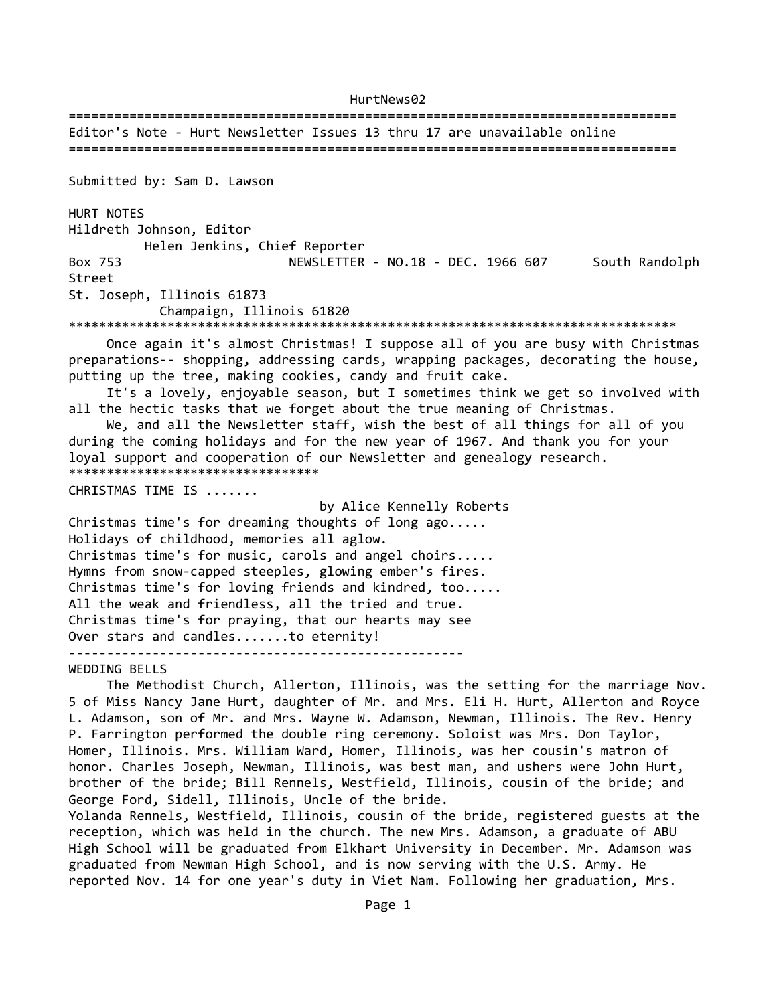================================================================================ Editor's Note - Hurt Newsletter Issues 13 thru 17 are unavailable online ================================================================================ Submitted by: Sam D. Lawson HURT NOTES Hildreth Johnson, Editor Helen Jenkins, Chief Reporter Box 753 NEWSLETTER - NO.18 - DEC. 1966 607 South Randolph Street St. Joseph, Illinois 61873 Champaign, Illinois 61820 \*\*\*\*\*\*\*\*\*\*\*\*\*\*\*\*\*\*\*\*\*\*\*\*\*\*\*\*\*\*\*\*\*\*\*\*\*\*\*\*\*\*\*\*\*\*\*\*\*\*\*\*\*\*\*\*\*\*\*\*\*\*\*\*\*\*\*\*\*\*\*\*\*\*\*\*\*\*\*\* Once again it's almost Christmas! I suppose all of you are busy with Christmas preparations-- shopping, addressing cards, wrapping packages, decorating the house, putting up the tree, making cookies, candy and fruit cake. It's a lovely, enjoyable season, but I sometimes think we get so involved with all the hectic tasks that we forget about the true meaning of Christmas. We, and all the Newsletter staff, wish the best of all things for all of you during the coming holidays and for the new year of 1967. And thank you for your loyal support and cooperation of our Newsletter and genealogy research. \*\*\*\*\*\*\*\*\*\*\*\*\*\*\*\*\*\*\*\*\*\*\*\*\*\*\*\*\*\*\*\*\* CHRISTMAS TIME IS ....... by Alice Kennelly Roberts Christmas time's for dreaming thoughts of long ago..... Holidays of childhood, memories all aglow. Christmas time's for music, carols and angel choirs..... Hymns from snow-capped steeples, glowing ember's fires. Christmas time's for loving friends and kindred, too..... All the weak and friendless, all the tried and true. Christmas time's for praying, that our hearts may see Over stars and candles.......to eternity! ---------------------------------------------------- WEDDING BELLS The Methodist Church, Allerton, Illinois, was the setting for the marriage Nov. 5 of Miss Nancy Jane Hurt, daughter of Mr. and Mrs. Eli H. Hurt, Allerton and Royce L. Adamson, son of Mr. and Mrs. Wayne W. Adamson, Newman, Illinois. The Rev. Henry P. Farrington performed the double ring ceremony. Soloist was Mrs. Don Taylor, Homer, Illinois. Mrs. William Ward, Homer, Illinois, was her cousin's matron of

honor. Charles Joseph, Newman, Illinois, was best man, and ushers were John Hurt, brother of the bride; Bill Rennels, Westfield, Illinois, cousin of the bride; and George Ford, Sidell, Illinois, Uncle of the bride. Yolanda Rennels, Westfield, Illinois, cousin of the bride, registered guests at the

reception, which was held in the church. The new Mrs. Adamson, a graduate of ABU High School will be graduated from Elkhart University in December. Mr. Adamson was graduated from Newman High School, and is now serving with the U.S. Army. He reported Nov. 14 for one year's duty in Viet Nam. Following her graduation, Mrs.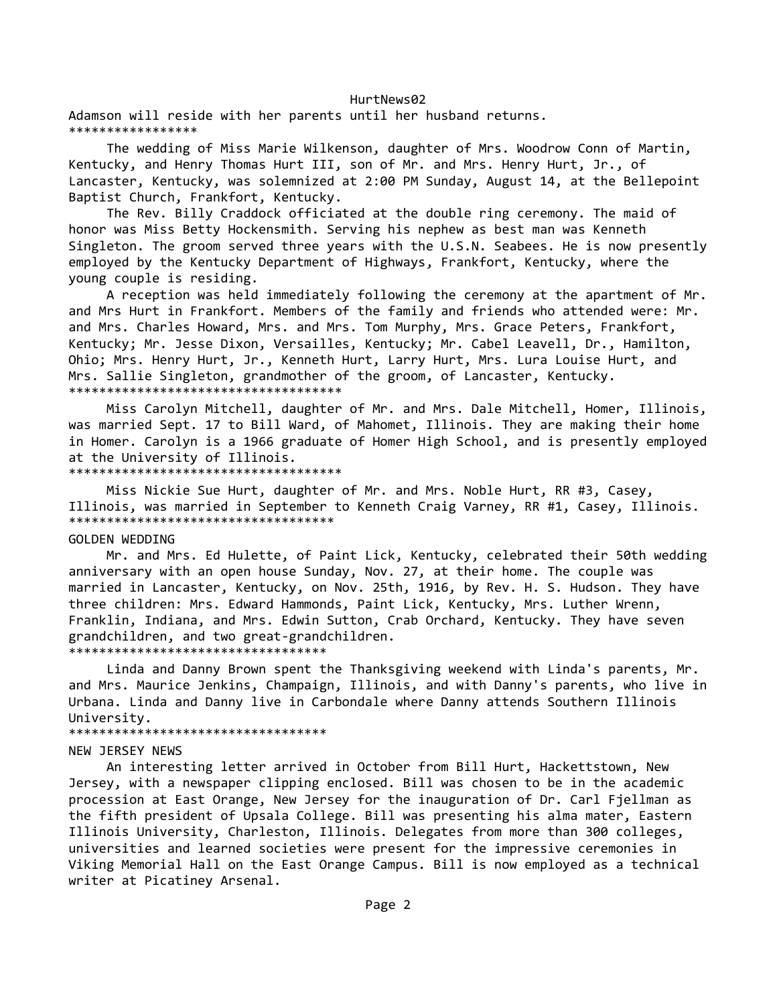Adamson will reside with her parents until her husband returns. \*\*\*\*\*\*\*\*\*\*\*\*\*\*\*\*\*

 The wedding of Miss Marie Wilkenson, daughter of Mrs. Woodrow Conn of Martin, Kentucky, and Henry Thomas Hurt III, son of Mr. and Mrs. Henry Hurt, Jr., of Lancaster, Kentucky, was solemnized at 2:00 PM Sunday, August 14, at the Bellepoint Baptist Church, Frankfort, Kentucky.

 The Rev. Billy Craddock officiated at the double ring ceremony. The maid of honor was Miss Betty Hockensmith. Serving his nephew as best man was Kenneth Singleton. The groom served three years with the U.S.N. Seabees. He is now presently employed by the Kentucky Department of Highways, Frankfort, Kentucky, where the young couple is residing.

 A reception was held immediately following the ceremony at the apartment of Mr. and Mrs Hurt in Frankfort. Members of the family and friends who attended were: Mr. and Mrs. Charles Howard, Mrs. and Mrs. Tom Murphy, Mrs. Grace Peters, Frankfort, Kentucky; Mr. Jesse Dixon, Versailles, Kentucky; Mr. Cabel Leavell, Dr., Hamilton, Ohio; Mrs. Henry Hurt, Jr., Kenneth Hurt, Larry Hurt, Mrs. Lura Louise Hurt, and Mrs. Sallie Singleton, grandmother of the groom, of Lancaster, Kentucky. \*\*\*\*\*\*\*\*\*\*\*\*\*\*\*\*\*\*\*\*\*\*\*\*\*\*\*\*\*\*\*\*\*\*\*\*

 Miss Carolyn Mitchell, daughter of Mr. and Mrs. Dale Mitchell, Homer, Illinois, was married Sept. 17 to Bill Ward, of Mahomet, Illinois. They are making their home in Homer. Carolyn is a 1966 graduate of Homer High School, and is presently employed at the University of Illinois.

\*\*\*\*\*\*\*\*\*\*\*\*\*

 Miss Nickie Sue Hurt, daughter of Mr. and Mrs. Noble Hurt, RR #3, Casey, Illinois, was married in September to Kenneth Craig Varney, RR #1, Casey, Illinois. \*\*\*\*\*\*\*\*\*\*\*\*\*\*\*\*\*\*\*\*\*\*\*\*\*\*\*\*\*\*\*\*\*\*\*

#### GOLDEN WEDDING

 Mr. and Mrs. Ed Hulette, of Paint Lick, Kentucky, celebrated their 50th wedding anniversary with an open house Sunday, Nov. 27, at their home. The couple was married in Lancaster, Kentucky, on Nov. 25th, 1916, by Rev. H. S. Hudson. They have three children: Mrs. Edward Hammonds, Paint Lick, Kentucky, Mrs. Luther Wrenn, Franklin, Indiana, and Mrs. Edwin Sutton, Crab Orchard, Kentucky. They have seven grandchildren, and two great-grandchildren.

\*\*\*\*\*\*\*\*\*\*\*\*\*\*\*\*\*\*\*\*\*\*\*\*\*\*\*\*\*\*\*\*\*\*

 Linda and Danny Brown spent the Thanksgiving weekend with Linda's parents, Mr. and Mrs. Maurice Jenkins, Champaign, Illinois, and with Danny's parents, who live in Urbana. Linda and Danny live in Carbondale where Danny attends Southern Illinois University.

#### \*\*\*\*\*\*\*\*\*\*\*\*\*\*\*\*\*\*\*\*\*\*\*\*\*\*\*\*\*\*\*\*\*\*

#### NEW JERSEY NEWS

 An interesting letter arrived in October from Bill Hurt, Hackettstown, New Jersey, with a newspaper clipping enclosed. Bill was chosen to be in the academic procession at East Orange, New Jersey for the inauguration of Dr. Carl Fjellman as the fifth president of Upsala College. Bill was presenting his alma mater, Eastern Illinois University, Charleston, Illinois. Delegates from more than 300 colleges, universities and learned societies were present for the impressive ceremonies in Viking Memorial Hall on the East Orange Campus. Bill is now employed as a technical writer at Picatiney Arsenal.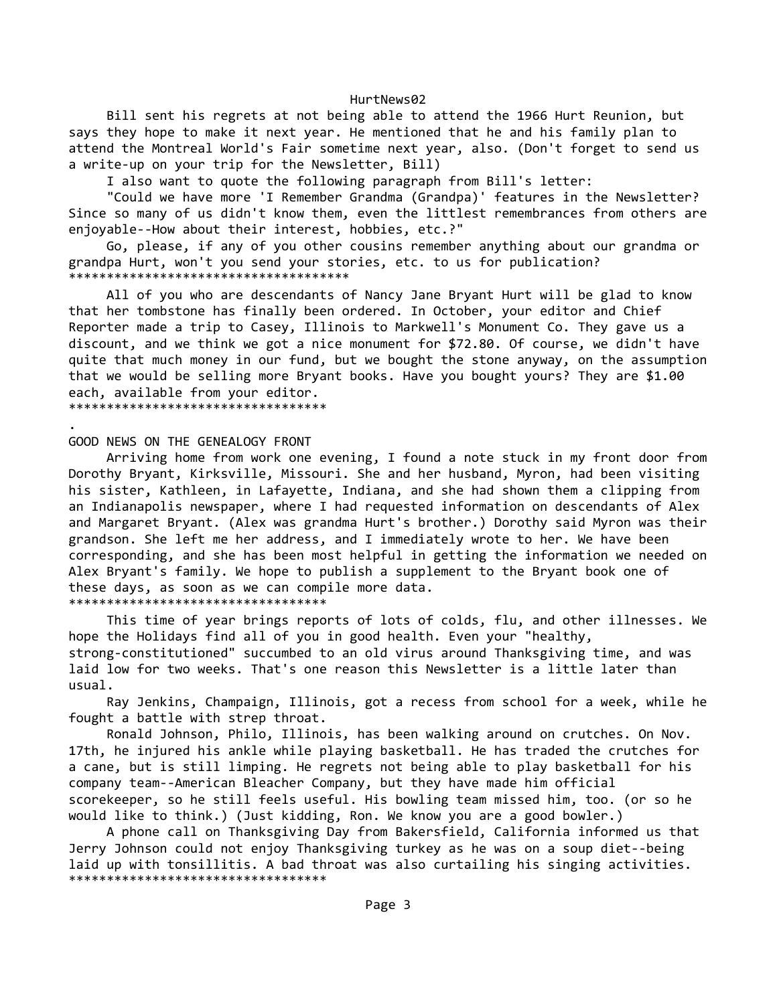Bill sent his regrets at not being able to attend the 1966 Hurt Reunion, but says they hope to make it next year. He mentioned that he and his family plan to attend the Montreal World's Fair sometime next year, also. (Don't forget to send us a write-up on your trip for the Newsletter, Bill)

I also want to quote the following paragraph from Bill's letter:

 "Could we have more 'I Remember Grandma (Grandpa)' features in the Newsletter? Since so many of us didn't know them, even the littlest remembrances from others are enjoyable--How about their interest, hobbies, etc.?"

 Go, please, if any of you other cousins remember anything about our grandma or grandpa Hurt, won't you send your stories, etc. to us for publication? \*\*\*\*\*\*\*\*\*\*\*\*\*\*\*\*\*\*\*\*\*\*\*\*\*\*\*\*\*\*\*\*\*\*\*\*\*

 All of you who are descendants of Nancy Jane Bryant Hurt will be glad to know that her tombstone has finally been ordered. In October, your editor and Chief Reporter made a trip to Casey, Illinois to Markwell's Monument Co. They gave us a discount, and we think we got a nice monument for \$72.80. Of course, we didn't have quite that much money in our fund, but we bought the stone anyway, on the assumption that we would be selling more Bryant books. Have you bought yours? They are \$1.00 each, available from your editor. \*\*\*\*\*\*\*\*\*\*\*\*\*\*\*\*\*\*\*\*\*\*\*\*\*\*\*\*\*\*\*\*\*\*

. GOOD NEWS ON THE GENEALOGY FRONT

 Arriving home from work one evening, I found a note stuck in my front door from Dorothy Bryant, Kirksville, Missouri. She and her husband, Myron, had been visiting his sister, Kathleen, in Lafayette, Indiana, and she had shown them a clipping from an Indianapolis newspaper, where I had requested information on descendants of Alex and Margaret Bryant. (Alex was grandma Hurt's brother.) Dorothy said Myron was their grandson. She left me her address, and I immediately wrote to her. We have been corresponding, and she has been most helpful in getting the information we needed on Alex Bryant's family. We hope to publish a supplement to the Bryant book one of these days, as soon as we can compile more data. \*\*\*\*\*\*\*\*\*\*\*\*\*\*\*\*\*\*\*\*\*\*\*\*\*\*\*\*\*\*\*\*\*\*

 This time of year brings reports of lots of colds, flu, and other illnesses. We hope the Holidays find all of you in good health. Even your "healthy, strong-constitutioned" succumbed to an old virus around Thanksgiving time, and was laid low for two weeks. That's one reason this Newsletter is a little later than usual.

 Ray Jenkins, Champaign, Illinois, got a recess from school for a week, while he fought a battle with strep throat.

 Ronald Johnson, Philo, Illinois, has been walking around on crutches. On Nov. 17th, he injured his ankle while playing basketball. He has traded the crutches for a cane, but is still limping. He regrets not being able to play basketball for his company team--American Bleacher Company, but they have made him official scorekeeper, so he still feels useful. His bowling team missed him, too. (or so he would like to think.) (Just kidding, Ron. We know you are a good bowler.)

 A phone call on Thanksgiving Day from Bakersfield, California informed us that Jerry Johnson could not enjoy Thanksgiving turkey as he was on a soup diet--being laid up with tonsillitis. A bad throat was also curtailing his singing activities. \*\*\*\*\*\*\*\*\*\*\*\*\*\*\*\*\*\*\*\*\*\*\*\*\*\*\*\*\*\*\*\*\*\*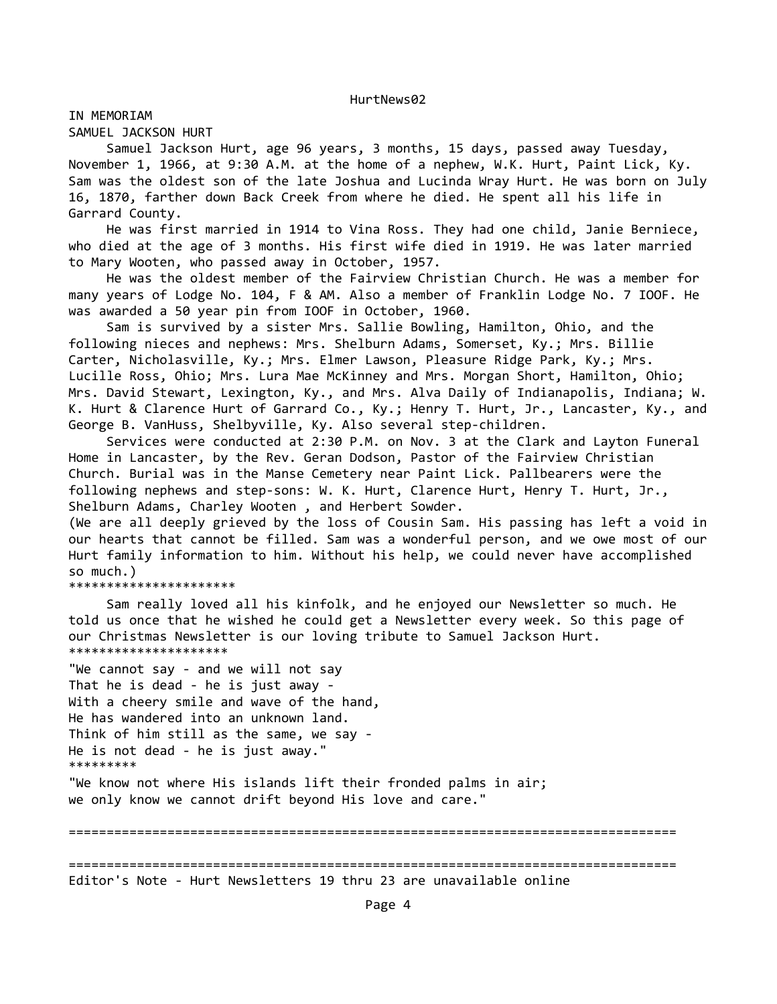IN MEMORIAM

SAMUEL JACKSON HURT

 Samuel Jackson Hurt, age 96 years, 3 months, 15 days, passed away Tuesday, November 1, 1966, at 9:30 A.M. at the home of a nephew, W.K. Hurt, Paint Lick, Ky. Sam was the oldest son of the late Joshua and Lucinda Wray Hurt. He was born on July 16, 1870, farther down Back Creek from where he died. He spent all his life in Garrard County.

 He was first married in 1914 to Vina Ross. They had one child, Janie Berniece, who died at the age of 3 months. His first wife died in 1919. He was later married to Mary Wooten, who passed away in October, 1957.

 He was the oldest member of the Fairview Christian Church. He was a member for many years of Lodge No. 104, F & AM. Also a member of Franklin Lodge No. 7 IOOF. He was awarded a 50 year pin from IOOF in October, 1960.

 Sam is survived by a sister Mrs. Sallie Bowling, Hamilton, Ohio, and the following nieces and nephews: Mrs. Shelburn Adams, Somerset, Ky.; Mrs. Billie Carter, Nicholasville, Ky.; Mrs. Elmer Lawson, Pleasure Ridge Park, Ky.; Mrs. Lucille Ross, Ohio; Mrs. Lura Mae McKinney and Mrs. Morgan Short, Hamilton, Ohio; Mrs. David Stewart, Lexington, Ky., and Mrs. Alva Daily of Indianapolis, Indiana; W. K. Hurt & Clarence Hurt of Garrard Co., Ky.; Henry T. Hurt, Jr., Lancaster, Ky., and George B. VanHuss, Shelbyville, Ky. Also several step-children.

 Services were conducted at 2:30 P.M. on Nov. 3 at the Clark and Layton Funeral Home in Lancaster, by the Rev. Geran Dodson, Pastor of the Fairview Christian Church. Burial was in the Manse Cemetery near Paint Lick. Pallbearers were the following nephews and step-sons: W. K. Hurt, Clarence Hurt, Henry T. Hurt, Jr., Shelburn Adams, Charley Wooten , and Herbert Sowder.

(We are all deeply grieved by the loss of Cousin Sam. His passing has left a void in our hearts that cannot be filled. Sam was a wonderful person, and we owe most of our Hurt family information to him. Without his help, we could never have accomplished so much.)

\*\*\*\*\*\*\*\*\*\*\*\*\*\*\*\*\*\*\*\*\*\*

 Sam really loved all his kinfolk, and he enjoyed our Newsletter so much. He told us once that he wished he could get a Newsletter every week. So this page of our Christmas Newsletter is our loving tribute to Samuel Jackson Hurt. \*\*\*\*\*\*\*\*\*\*\*\*\*\*\*\*\*\*\*\*\*

"We cannot say - and we will not say That he is dead - he is just away - With a cheery smile and wave of the hand, He has wandered into an unknown land. Think of him still as the same, we say - He is not dead - he is just away." \*\*\*\*\*\*\*\*\*

"We know not where His islands lift their fronded palms in air; we only know we cannot drift beyond His love and care."

================================================================================ ================================================================================ Editor's Note - Hurt Newsletters 19 thru 23 are unavailable online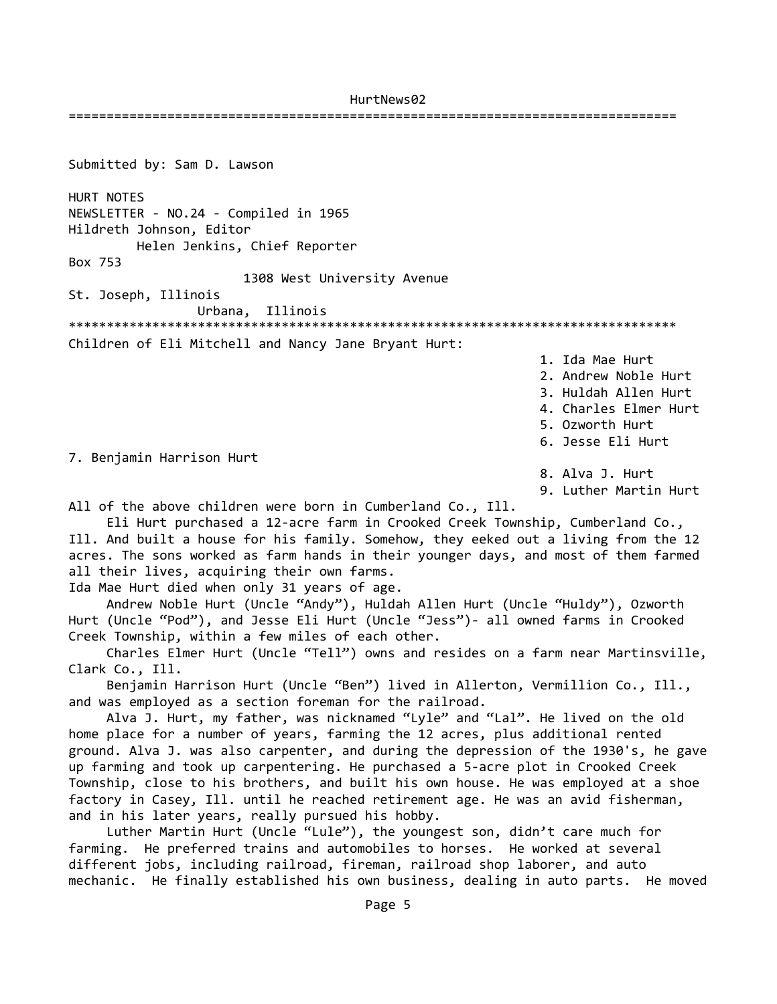================================================================================

Submitted by: Sam D. Lawson HURT NOTES NEWSLETTER - NO.24 - Compiled in 1965 Hildreth Johnson, Editor Helen Jenkins, Chief Reporter Box 753 1308 West University Avenue St. Joseph, Illinois Urbana, Illinois \*\*\*\*\*\*\*\*\*\*\*\*\*\*\*\*\*\*\*\*\*\*\*\*\*\*\*\*\*\*\*\*\*\*\*\*\*\*\*\*\*\*\*\*\*\*\*\*\*\*\*\*\*\*\*\*\*\*\*\*\*\*\*\*\*\*\*\*\*\*\*\*\*\*\*\*\*\*\*\* Children of Eli Mitchell and Nancy Jane Bryant Hurt: 1. Ida Mae Hurt 2. Andrew Noble Hurt 3. Huldah Allen Hurt 4. Charles Elmer Hurt 5. Ozworth Hurt 6. Jesse Eli Hurt 7. Benjamin Harrison Hurt 8. Alva J. Hurt 9. Luther Martin Hurt All of the above children were born in Cumberland Co., Ill. Eli Hurt purchased a 12-acre farm in Crooked Creek Township, Cumberland Co., Ill. And built a house for his family. Somehow, they eeked out a living from the 12 acres. The sons worked as farm hands in their younger days, and most of them farmed all their lives, acquiring their own farms. Ida Mae Hurt died when only 31 years of age. Andrew Noble Hurt (Uncle "Andy"), Huldah Allen Hurt (Uncle "Huldy"), Ozworth Hurt (Uncle "Pod"), and Jesse Eli Hurt (Uncle "Jess")- all owned farms in Crooked Creek Township, within a few miles of each other. Charles Elmer Hurt (Uncle "Tell") owns and resides on a farm near Martinsville, Clark Co., Ill. Benjamin Harrison Hurt (Uncle "Ben") lived in Allerton, Vermillion Co., Ill., and was employed as a section foreman for the railroad. Alva J. Hurt, my father, was nicknamed "Lyle" and "Lal". He lived on the old home place for a number of years, farming the 12 acres, plus additional rented ground. Alva J. was also carpenter, and during the depression of the 1930's, he gave up farming and took up carpentering. He purchased a 5-acre plot in Crooked Creek Township, close to his brothers, and built his own house. He was employed at a shoe factory in Casey, Ill. until he reached retirement age. He was an avid fisherman, and in his later years, really pursued his hobby.

 Luther Martin Hurt (Uncle "Lule"), the youngest son, didn't care much for farming. He preferred trains and automobiles to horses. He worked at several different jobs, including railroad, fireman, railroad shop laborer, and auto mechanic. He finally established his own business, dealing in auto parts. He moved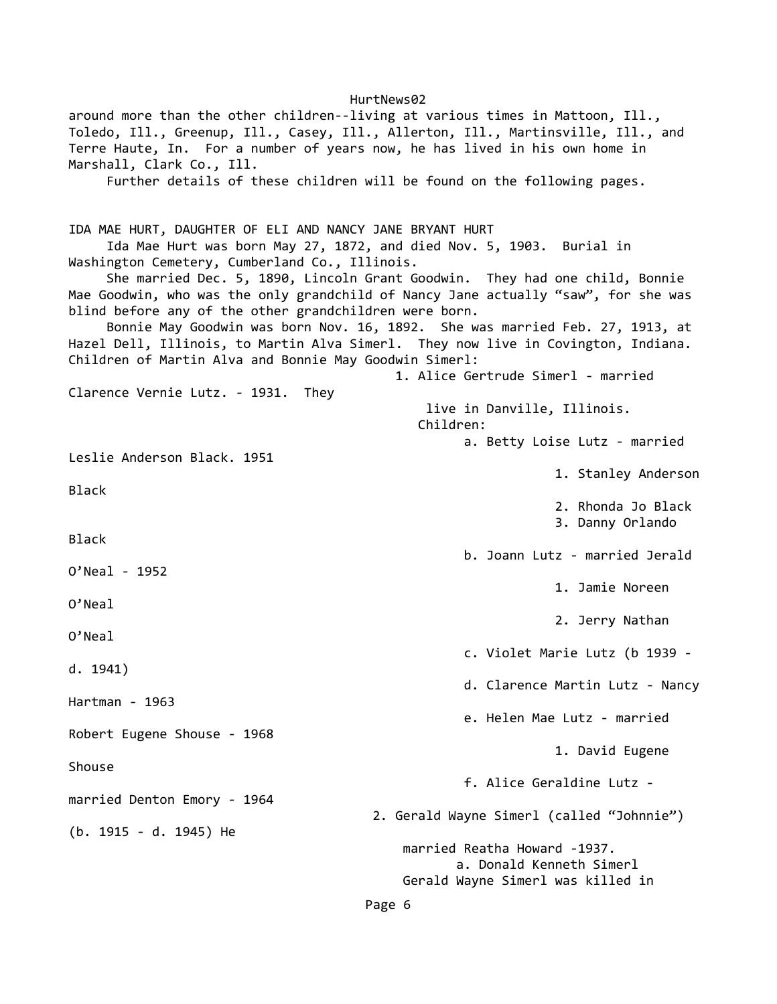around more than the other children--living at various times in Mattoon, Ill., Toledo, Ill., Greenup, Ill., Casey, Ill., Allerton, Ill., Martinsville, Ill., and Terre Haute, In. For a number of years now, he has lived in his own home in Marshall, Clark Co., Ill. Further details of these children will be found on the following pages. IDA MAE HURT, DAUGHTER OF ELI AND NANCY JANE BRYANT HURT Ida Mae Hurt was born May 27, 1872, and died Nov. 5, 1903. Burial in Washington Cemetery, Cumberland Co., Illinois. She married Dec. 5, 1890, Lincoln Grant Goodwin. They had one child, Bonnie Mae Goodwin, who was the only grandchild of Nancy Jane actually "saw", for she was blind before any of the other grandchildren were born. Bonnie May Goodwin was born Nov. 16, 1892. She was married Feb. 27, 1913, at Hazel Dell, Illinois, to Martin Alva Simerl. They now live in Covington, Indiana. Children of Martin Alva and Bonnie May Goodwin Simerl: 1. Alice Gertrude Simerl - married Clarence Vernie Lutz. - 1931. They live in Danville, Illinois. Children: a. Betty Loise Lutz - married Leslie Anderson Black. 1951 1. Stanley Anderson Black 2. Rhonda Jo Black 3. Danny Orlando Black b. Joann Lutz - married Jerald O'Neal - 1952 1. Jamie Noreen O'Neal 2. Jerry Nathan O'Neal c. Violet Marie Lutz (b 1939 d. 1941) d. Clarence Martin Lutz - Nancy Hartman - 1963 e. Helen Mae Lutz - married Robert Eugene Shouse - 1968 1. David Eugene Shouse f. Alice Geraldine Lutz married Denton Emory - 1964 2. Gerald Wayne Simerl (called "Johnnie") (b. 1915 - d. 1945) He married Reatha Howard -1937. a. Donald Kenneth Simerl Gerald Wayne Simerl was killed in

Page 6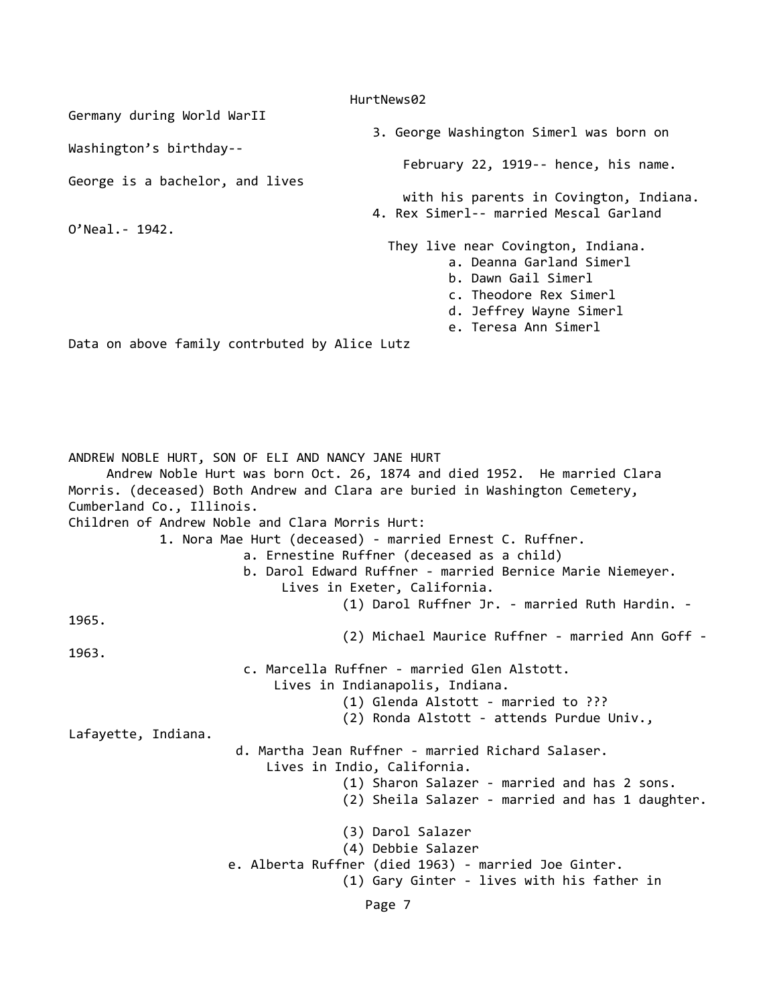HurtNews02 Germany during World WarII 3. George Washington Simerl was born on Washington's birthday-- February 22, 1919-- hence, his name. George is a bachelor, and lives with his parents in Covington, Indiana. 4. Rex Simerl-- married Mescal Garland O'Neal.- 1942. They live near Covington, Indiana. a. Deanna Garland Simerl b. Dawn Gail Simerl c. Theodore Rex Simerl d. Jeffrey Wayne Simerl e. Teresa Ann Simerl Data on above family contrbuted by Alice Lutz ANDREW NOBLE HURT, SON OF ELI AND NANCY JANE HURT Andrew Noble Hurt was born Oct. 26, 1874 and died 1952. He married Clara Morris. (deceased) Both Andrew and Clara are buried in Washington Cemetery, Cumberland Co., Illinois. Children of Andrew Noble and Clara Morris Hurt: 1. Nora Mae Hurt (deceased) - married Ernest C. Ruffner. a. Ernestine Ruffner (deceased as a child) b. Darol Edward Ruffner - married Bernice Marie Niemeyer. Lives in Exeter, California. (1) Darol Ruffner Jr. - married Ruth Hardin. - 1965. (2) Michael Maurice Ruffner - married Ann Goff - 1963. c. Marcella Ruffner - married Glen Alstott. Lives in Indianapolis, Indiana. (1) Glenda Alstott - married to ??? (2) Ronda Alstott - attends Purdue Univ., Lafayette, Indiana. d. Martha Jean Ruffner - married Richard Salaser. Lives in Indio, California. (1) Sharon Salazer - married and has 2 sons. (2) Sheila Salazer - married and has 1 daughter. (3) Darol Salazer (4) Debbie Salazer e. Alberta Ruffner (died 1963) - married Joe Ginter. (1) Gary Ginter - lives with his father in Page 7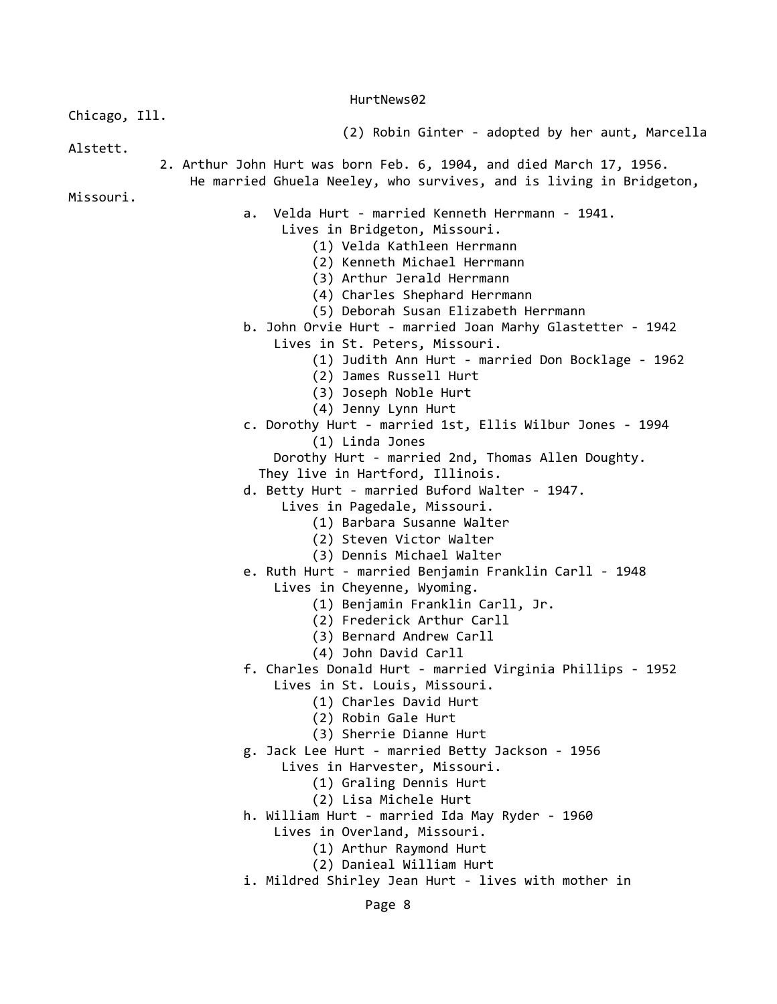Chicago, Ill.

(2) Robin Ginter - adopted by her aunt, Marcella

Alstett.

 2. Arthur John Hurt was born Feb. 6, 1904, and died March 17, 1956. He married Ghuela Neeley, who survives, and is living in Bridgeton,

Missouri.

- a. Velda Hurt married Kenneth Herrmann 1941.
	- Lives in Bridgeton, Missouri.
		- (1) Velda Kathleen Herrmann
		- (2) Kenneth Michael Herrmann
		- (3) Arthur Jerald Herrmann
		- (4) Charles Shephard Herrmann
		- (5) Deborah Susan Elizabeth Herrmann
	- b. John Orvie Hurt married Joan Marhy Glastetter 1942
		- Lives in St. Peters, Missouri.
			- (1) Judith Ann Hurt married Don Bocklage 1962
			- (2) James Russell Hurt
			- (3) Joseph Noble Hurt
			- (4) Jenny Lynn Hurt
- c. Dorothy Hurt married 1st, Ellis Wilbur Jones 1994 (1) Linda Jones
	- Dorothy Hurt married 2nd, Thomas Allen Doughty.
	- They live in Hartford, Illinois.
- d. Betty Hurt married Buford Walter 1947.
	- Lives in Pagedale, Missouri.
		- (1) Barbara Susanne Walter
		- (2) Steven Victor Walter
		- (3) Dennis Michael Walter
- e. Ruth Hurt married Benjamin Franklin Carll 1948
	- Lives in Cheyenne, Wyoming.
		- (1) Benjamin Franklin Carll, Jr.
		- (2) Frederick Arthur Carll
		- (3) Bernard Andrew Carll
		- (4) John David Carll
- f. Charles Donald Hurt married Virginia Phillips 1952
	- Lives in St. Louis, Missouri.
		- (1) Charles David Hurt
		- (2) Robin Gale Hurt
		- (3) Sherrie Dianne Hurt
- g. Jack Lee Hurt married Betty Jackson 1956
	- Lives in Harvester, Missouri.
		- (1) Graling Dennis Hurt
		- (2) Lisa Michele Hurt
- h. William Hurt married Ida May Ryder 1960
	- Lives in Overland, Missouri.
		- (1) Arthur Raymond Hurt
		- (2) Danieal William Hurt
- i. Mildred Shirley Jean Hurt lives with mother in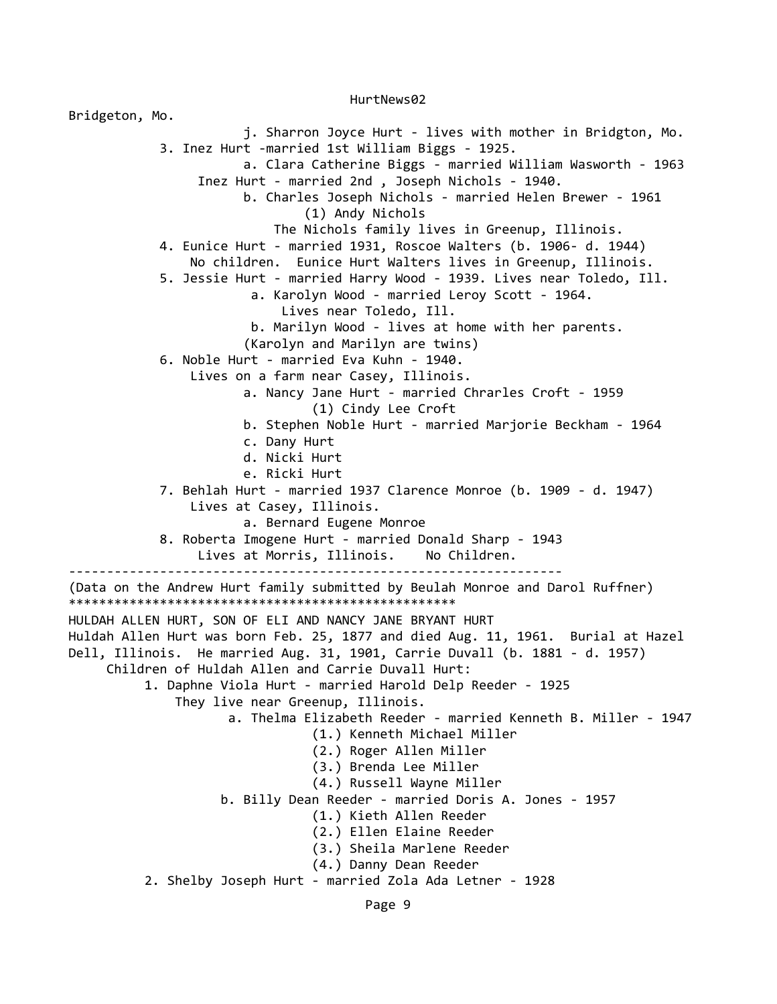Bridgeton, Mo. j. Sharron Joyce Hurt - lives with mother in Bridgton, Mo. 3. Inez Hurt -married 1st William Biggs - 1925. a. Clara Catherine Biggs - married William Wasworth - 1963 Inez Hurt - married 2nd , Joseph Nichols - 1940. b. Charles Joseph Nichols - married Helen Brewer - 1961 (1) Andy Nichols The Nichols family lives in Greenup, Illinois. 4. Eunice Hurt - married 1931, Roscoe Walters (b. 1906- d. 1944) No children. Eunice Hurt Walters lives in Greenup, Illinois. 5. Jessie Hurt - married Harry Wood - 1939. Lives near Toledo, Ill. a. Karolyn Wood - married Leroy Scott - 1964. Lives near Toledo, Ill. b. Marilyn Wood - lives at home with her parents. (Karolyn and Marilyn are twins) 6. Noble Hurt - married Eva Kuhn - 1940. Lives on a farm near Casey, Illinois. a. Nancy Jane Hurt - married Chrarles Croft - 1959 (1) Cindy Lee Croft b. Stephen Noble Hurt - married Marjorie Beckham - 1964 c. Dany Hurt d. Nicki Hurt e. Ricki Hurt 7. Behlah Hurt - married 1937 Clarence Monroe (b. 1909 - d. 1947) Lives at Casey, Illinois. a. Bernard Eugene Monroe 8. Roberta Imogene Hurt - married Donald Sharp - 1943 Lives at Morris, Illinois. No Children. ----------------------------------------------------------------- (Data on the Andrew Hurt family submitted by Beulah Monroe and Darol Ruffner) \*\*\*\*\*\*\*\*\*\*\*\*\*\*\*\*\*\*\*\*\*\*\*\*\*\*\*\*\*\*\*\*\*\*\*\*\*\*\*\*\*\*\*\*\*\*\*\*\*\*\* HULDAH ALLEN HURT, SON OF ELI AND NANCY JANE BRYANT HURT Huldah Allen Hurt was born Feb. 25, 1877 and died Aug. 11, 1961. Burial at Hazel Dell, Illinois. He married Aug. 31, 1901, Carrie Duvall (b. 1881 - d. 1957) Children of Huldah Allen and Carrie Duvall Hurt: 1. Daphne Viola Hurt - married Harold Delp Reeder - 1925 They live near Greenup, Illinois. a. Thelma Elizabeth Reeder - married Kenneth B. Miller - 1947 (1.) Kenneth Michael Miller (2.) Roger Allen Miller (3.) Brenda Lee Miller (4.) Russell Wayne Miller b. Billy Dean Reeder - married Doris A. Jones - 1957 (1.) Kieth Allen Reeder (2.) Ellen Elaine Reeder (3.) Sheila Marlene Reeder (4.) Danny Dean Reeder 2. Shelby Joseph Hurt - married Zola Ada Letner - 1928

HurtNews02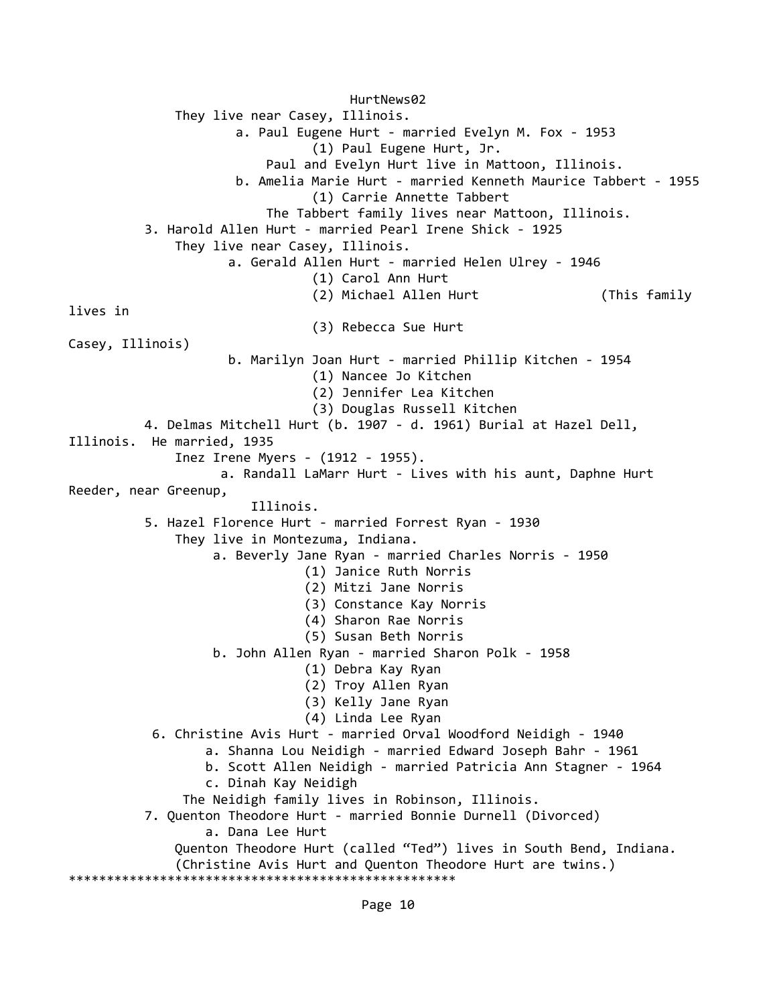HurtNews02 They live near Casey, Illinois. a. Paul Eugene Hurt - married Evelyn M. Fox - 1953 (1) Paul Eugene Hurt, Jr. Paul and Evelyn Hurt live in Mattoon, Illinois. b. Amelia Marie Hurt - married Kenneth Maurice Tabbert - 1955 (1) Carrie Annette Tabbert The Tabbert family lives near Mattoon, Illinois. 3. Harold Allen Hurt - married Pearl Irene Shick - 1925 They live near Casey, Illinois. a. Gerald Allen Hurt - married Helen Ulrey - 1946 (1) Carol Ann Hurt (2) Michael Allen Hurt (This family lives in (3) Rebecca Sue Hurt Casey, Illinois) b. Marilyn Joan Hurt - married Phillip Kitchen - 1954 (1) Nancee Jo Kitchen (2) Jennifer Lea Kitchen (3) Douglas Russell Kitchen 4. Delmas Mitchell Hurt (b. 1907 - d. 1961) Burial at Hazel Dell, Illinois. He married, 1935 Inez Irene Myers - (1912 - 1955). a. Randall LaMarr Hurt - Lives with his aunt, Daphne Hurt Reeder, near Greenup, Illinois. 5. Hazel Florence Hurt - married Forrest Ryan - 1930 They live in Montezuma, Indiana. a. Beverly Jane Ryan - married Charles Norris - 1950 (1) Janice Ruth Norris (2) Mitzi Jane Norris (3) Constance Kay Norris (4) Sharon Rae Norris (5) Susan Beth Norris b. John Allen Ryan - married Sharon Polk - 1958 (1) Debra Kay Ryan (2) Troy Allen Ryan (3) Kelly Jane Ryan (4) Linda Lee Ryan 6. Christine Avis Hurt - married Orval Woodford Neidigh - 1940 a. Shanna Lou Neidigh - married Edward Joseph Bahr - 1961 b. Scott Allen Neidigh - married Patricia Ann Stagner - 1964 c. Dinah Kay Neidigh The Neidigh family lives in Robinson, Illinois. 7. Quenton Theodore Hurt - married Bonnie Durnell (Divorced) a. Dana Lee Hurt Quenton Theodore Hurt (called "Ted") lives in South Bend, Indiana. (Christine Avis Hurt and Quenton Theodore Hurt are twins.) \*\*\*\*\*\*\*\*\*\*\*\*\*\*\*\*\*\*\*\*\*\*\*\*\*\*\*\*\*\*\*\*\*\*\*\*\*\*\*\*\*\*\*\*\*\*\*\*\*\*\*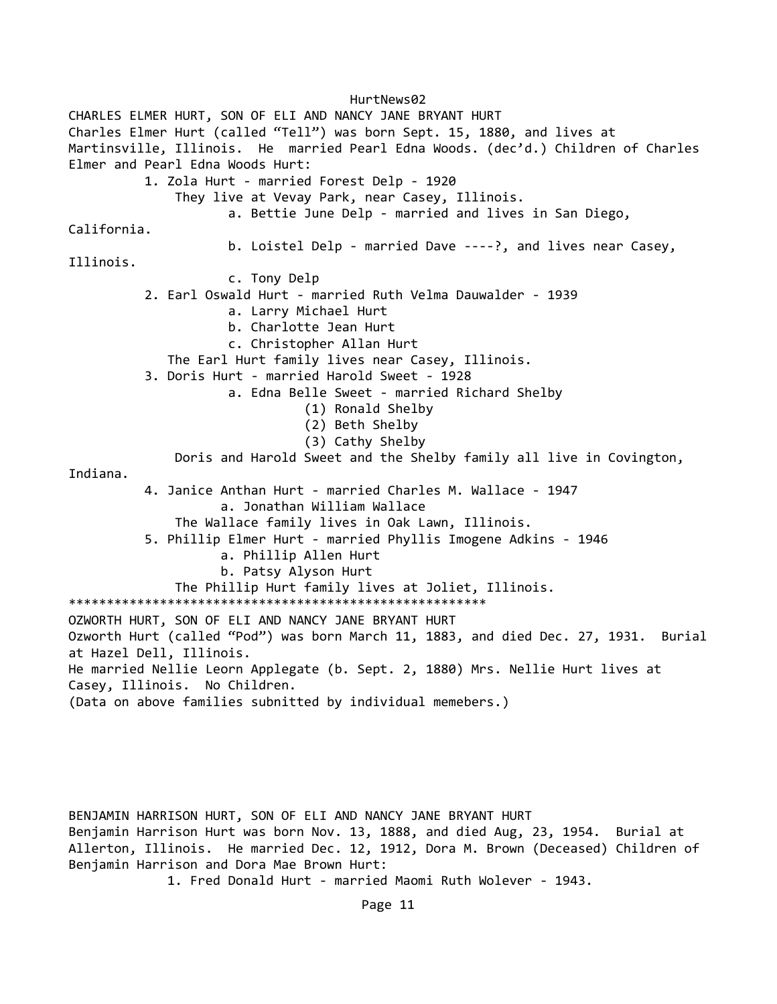HurtNews02 CHARLES ELMER HURT, SON OF ELI AND NANCY JANE BRYANT HURT Charles Elmer Hurt (called "Tell") was born Sept. 15, 1880, and lives at Martinsville, Illinois. He married Pearl Edna Woods. (dec'd.) Children of Charles Elmer and Pearl Edna Woods Hurt: 1. Zola Hurt - married Forest Delp - 1920 They live at Vevay Park, near Casey, Illinois. a. Bettie June Delp - married and lives in San Diego, California. b. Loistel Delp - married Dave ----?, and lives near Casey, Illinois. c. Tony Delp 2. Earl Oswald Hurt - married Ruth Velma Dauwalder - 1939 a. Larry Michael Hurt b. Charlotte Jean Hurt c. Christopher Allan Hurt The Earl Hurt family lives near Casey, Illinois. 3. Doris Hurt - married Harold Sweet - 1928 a. Edna Belle Sweet - married Richard Shelby (1) Ronald Shelby (2) Beth Shelby (3) Cathy Shelby Doris and Harold Sweet and the Shelby family all live in Covington, Indiana. 4. Janice Anthan Hurt - married Charles M. Wallace - 1947 a. Jonathan William Wallace The Wallace family lives in Oak Lawn, Illinois. 5. Phillip Elmer Hurt - married Phyllis Imogene Adkins - 1946 a. Phillip Allen Hurt b. Patsy Alyson Hurt The Phillip Hurt family lives at Joliet, Illinois. \*\*\*\*\*\*\*\*\*\*\*\*\*\*\*\*\*\*\*\*\*\*\*\*\*\*\*\*\*\*\*\*\*\*\*\*\*\*\*\*\*\*\*\*\*\*\*\*\*\*\*\*\*\*\* OZWORTH HURT, SON OF ELI AND NANCY JANE BRYANT HURT Ozworth Hurt (called "Pod") was born March 11, 1883, and died Dec. 27, 1931. Burial at Hazel Dell, Illinois. He married Nellie Leorn Applegate (b. Sept. 2, 1880) Mrs. Nellie Hurt lives at Casey, Illinois. No Children. (Data on above families subnitted by individual memebers.)

BENJAMIN HARRISON HURT, SON OF ELI AND NANCY JANE BRYANT HURT Benjamin Harrison Hurt was born Nov. 13, 1888, and died Aug, 23, 1954. Burial at Allerton, Illinois. He married Dec. 12, 1912, Dora M. Brown (Deceased) Children of Benjamin Harrison and Dora Mae Brown Hurt:

1. Fred Donald Hurt - married Maomi Ruth Wolever - 1943.

Page 11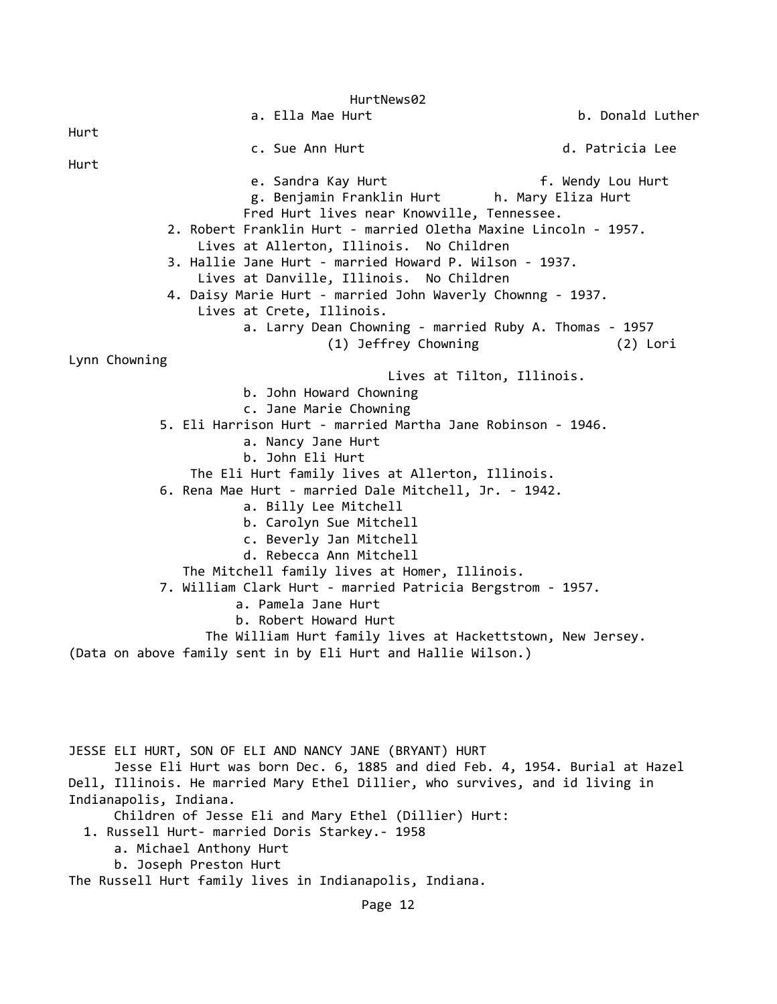HurtNews02 a. Ella Mae Hurt **b. Donald Luther** Hurt c. Sue Ann Hurt d. Patricia Lee Hurt e. Sandra Kay Hurt F. Wendy Lou Hurt g. Benjamin Franklin Hurt h. Mary Eliza Hurt Fred Hurt lives near Knowville, Tennessee. 2. Robert Franklin Hurt - married Oletha Maxine Lincoln - 1957. Lives at Allerton, Illinois. No Children 3. Hallie Jane Hurt - married Howard P. Wilson - 1937. Lives at Danville, Illinois. No Children 4. Daisy Marie Hurt - married John Waverly Chownng - 1937. Lives at Crete, Illinois. a. Larry Dean Chowning - married Ruby A. Thomas - 1957 (1) Jeffrey Chowning (2) Lori Lynn Chowning Lives at Tilton, Illinois. b. John Howard Chowning c. Jane Marie Chowning 5. Eli Harrison Hurt - married Martha Jane Robinson - 1946. a. Nancy Jane Hurt b. John Eli Hurt The Eli Hurt family lives at Allerton, Illinois. 6. Rena Mae Hurt - married Dale Mitchell, Jr. - 1942. a. Billy Lee Mitchell b. Carolyn Sue Mitchell c. Beverly Jan Mitchell d. Rebecca Ann Mitchell The Mitchell family lives at Homer, Illinois. 7. William Clark Hurt - married Patricia Bergstrom - 1957. a. Pamela Jane Hurt b. Robert Howard Hurt The William Hurt family lives at Hackettstown, New Jersey. (Data on above family sent in by Eli Hurt and Hallie Wilson.) JESSE ELI HURT, SON OF ELI AND NANCY JANE (BRYANT) HURT Jesse Eli Hurt was born Dec. 6, 1885 and died Feb. 4, 1954. Burial at Hazel Dell, Illinois. He married Mary Ethel Dillier, who survives, and id living in Indianapolis, Indiana. Children of Jesse Eli and Mary Ethel (Dillier) Hurt:

1. Russell Hurt- married Doris Starkey.- 1958

a. Michael Anthony Hurt

b. Joseph Preston Hurt

The Russell Hurt family lives in Indianapolis, Indiana.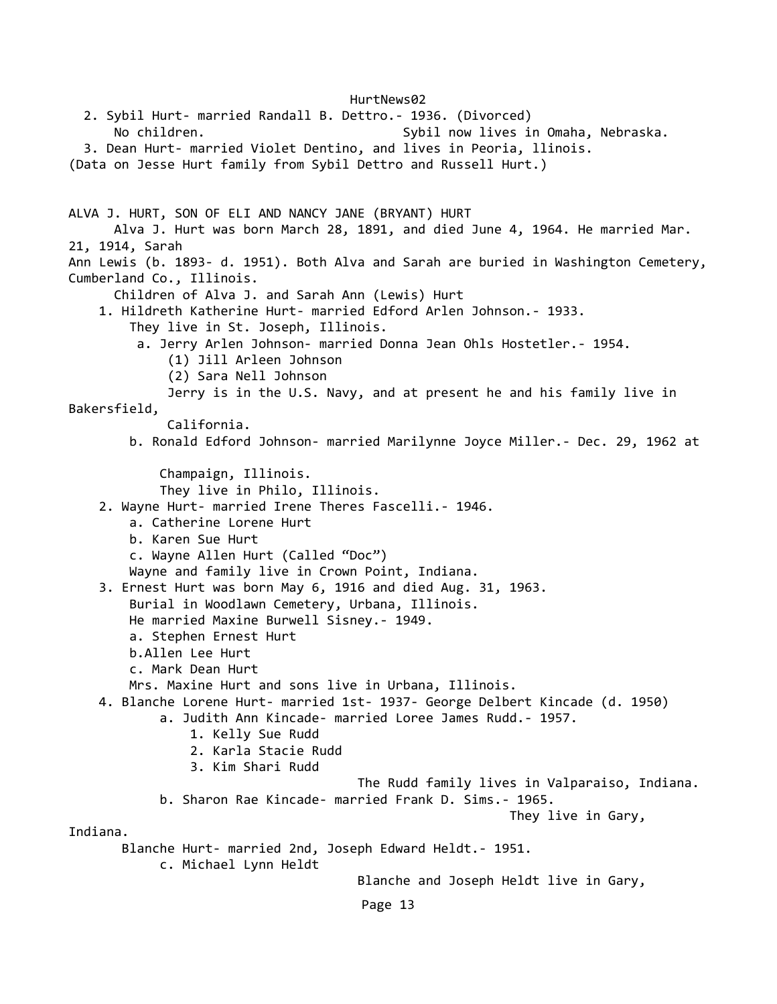HurtNews02 2. Sybil Hurt- married Randall B. Dettro.- 1936. (Divorced) No children. The sybil now lives in Omaha, Nebraska. 3. Dean Hurt- married Violet Dentino, and lives in Peoria, llinois. (Data on Jesse Hurt family from Sybil Dettro and Russell Hurt.) ALVA J. HURT, SON OF ELI AND NANCY JANE (BRYANT) HURT Alva J. Hurt was born March 28, 1891, and died June 4, 1964. He married Mar. 21, 1914, Sarah Ann Lewis (b. 1893- d. 1951). Both Alva and Sarah are buried in Washington Cemetery, Cumberland Co., Illinois. Children of Alva J. and Sarah Ann (Lewis) Hurt 1. Hildreth Katherine Hurt- married Edford Arlen Johnson.- 1933. They live in St. Joseph, Illinois. a. Jerry Arlen Johnson- married Donna Jean Ohls Hostetler.- 1954. (1) Jill Arleen Johnson (2) Sara Nell Johnson Jerry is in the U.S. Navy, and at present he and his family live in Bakersfield, California. b. Ronald Edford Johnson- married Marilynne Joyce Miller.- Dec. 29, 1962 at Champaign, Illinois. They live in Philo, Illinois. 2. Wayne Hurt- married Irene Theres Fascelli.- 1946. a. Catherine Lorene Hurt b. Karen Sue Hurt c. Wayne Allen Hurt (Called "Doc") Wayne and family live in Crown Point, Indiana. 3. Ernest Hurt was born May 6, 1916 and died Aug. 31, 1963. Burial in Woodlawn Cemetery, Urbana, Illinois. He married Maxine Burwell Sisney.- 1949. a. Stephen Ernest Hurt b.Allen Lee Hurt c. Mark Dean Hurt Mrs. Maxine Hurt and sons live in Urbana, Illinois. 4. Blanche Lorene Hurt- married 1st- 1937- George Delbert Kincade (d. 1950) a. Judith Ann Kincade- married Loree James Rudd.- 1957. 1. Kelly Sue Rudd 2. Karla Stacie Rudd 3. Kim Shari Rudd The Rudd family lives in Valparaiso, Indiana. b. Sharon Rae Kincade- married Frank D. Sims.- 1965. They live in Gary, Indiana. Blanche Hurt- married 2nd, Joseph Edward Heldt.- 1951. c. Michael Lynn Heldt Blanche and Joseph Heldt live in Gary, Page 13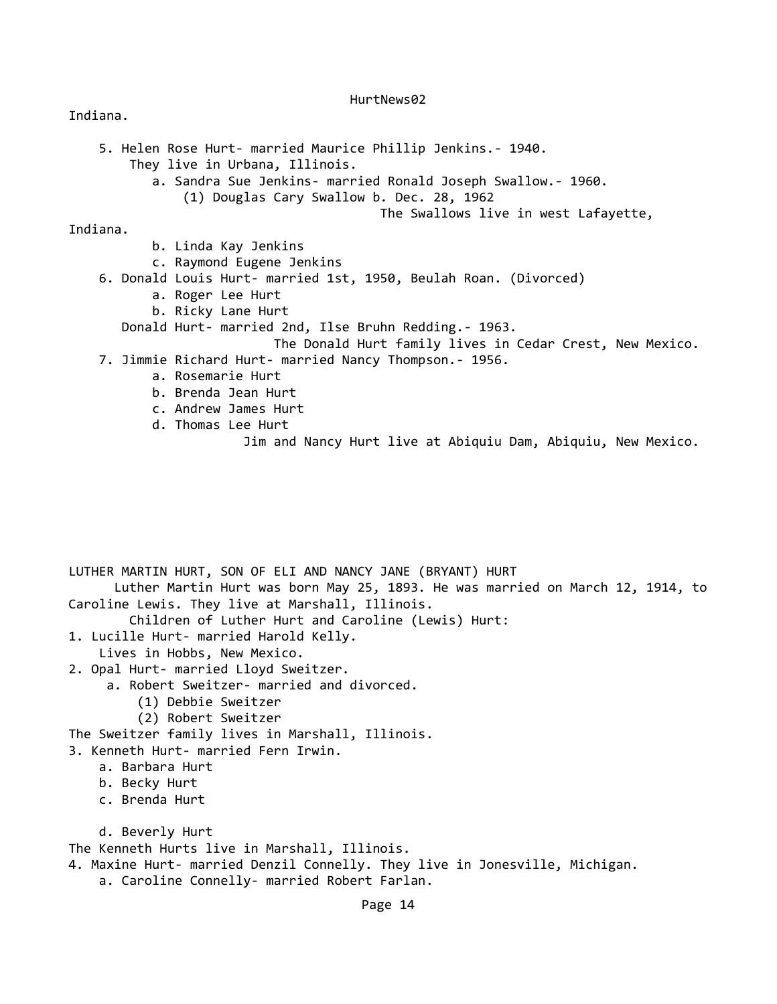# Indiana.

```
 5. Helen Rose Hurt- married Maurice Phillip Jenkins.- 1940. 
         They live in Urbana, Illinois. 
            a. Sandra Sue Jenkins- married Ronald Joseph Swallow.- 1960. 
                 (1) Douglas Cary Swallow b. Dec. 28, 1962 
                                            The Swallows live in west Lafayette, 
Indiana. 
            b. Linda Kay Jenkins 
            c. Raymond Eugene Jenkins 
     6. Donald Louis Hurt- married 1st, 1950, Beulah Roan. (Divorced) 
            a. Roger Lee Hurt 
            b. Ricky Lane Hurt 
        Donald Hurt- married 2nd, Ilse Bruhn Redding.- 1963. 
                             The Donald Hurt family lives in Cedar Crest, New Mexico. 
     7. Jimmie Richard Hurt- married Nancy Thompson.- 1956. 
            a. Rosemarie Hurt 
            b. Brenda Jean Hurt 
            c. Andrew James Hurt 
            d. Thomas Lee Hurt 
                         Jim and Nancy Hurt live at Abiquiu Dam, Abiquiu, New Mexico. 
LUTHER MARTIN HURT, SON OF ELI AND NANCY JANE (BRYANT) HURT 
       Luther Martin Hurt was born May 25, 1893. He was married on March 12, 1914, to
Caroline Lewis. They live at Marshall, Illinois.
```
Children of Luther Hurt and Caroline (Lewis) Hurt:

1. Lucille Hurt- married Harold Kelly.

Lives in Hobbs, New Mexico.

- 2. Opal Hurt- married Lloyd Sweitzer.
	- a. Robert Sweitzer- married and divorced.
		- (1) Debbie Sweitzer
		- (2) Robert Sweitzer

The Sweitzer family lives in Marshall, Illinois.

- 3. Kenneth Hurt- married Fern Irwin.
	- a. Barbara Hurt
	- b. Becky Hurt
	- c. Brenda Hurt
	- d. Beverly Hurt

The Kenneth Hurts live in Marshall, Illinois.

- 4. Maxine Hurt- married Denzil Connelly. They live in Jonesville, Michigan.
	- a. Caroline Connelly- married Robert Farlan.